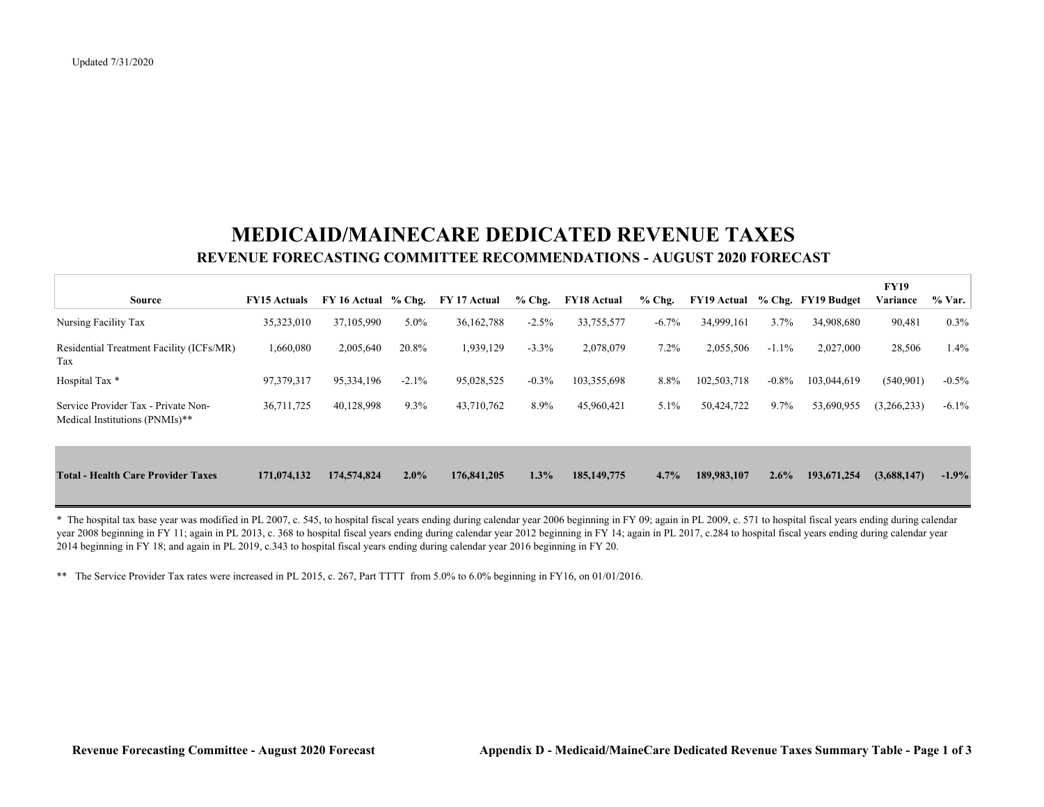## **MEDICAID/MAINECARE DEDICATED REVENUE TAXES REVENUE FORECASTING COMMITTEE RECOMMENDATIONS - AUGUST 2020 FORECAST**

| <b>Source</b>                                                         | <b>FY15 Actuals</b> | $FY$ 16 Actual $%$ Chg. |         | FY 17 Actual | $%$ Chg. | <b>FY18 Actual</b> | $%$ Chg. | <b>FY19 Actual</b> |          | % Chg. FY19 Budget | <b>FY19</b><br>Variance | % Var.   |
|-----------------------------------------------------------------------|---------------------|-------------------------|---------|--------------|----------|--------------------|----------|--------------------|----------|--------------------|-------------------------|----------|
| Nursing Facility Tax                                                  | 35,323,010          | 37,105,990              | 5.0%    | 36, 162, 788 | $-2.5%$  | 33,755,577         | $-6.7\%$ | 34,999,161         | 3.7%     | 34,908,680         | 90,481                  | $0.3\%$  |
| Residential Treatment Facility (ICFs/MR)<br>Tax                       | 1,660,080           | 2,005,640               | 20.8%   | 1,939,129    | $-3.3%$  | 2,078,079          | $7.2\%$  | 2,055,506          | $-1.1\%$ | 2,027,000          | 28,506                  | 1.4%     |
| Hospital Tax *                                                        | 97,379,317          | 95,334,196              | $-2.1%$ | 95,028,525   | $-0.3%$  | 103,355,698        | 8.8%     | 102,503,718        | $-0.8%$  | 103,044,619        | (540, 901)              | $-0.5\%$ |
| Service Provider Tax - Private Non-<br>Medical Institutions (PNMIs)** | 36,711,725          | 40,128,998              | 9.3%    | 43,710,762   | 8.9%     | 45,960,421         | 5.1%     | 50,424,722         | $9.7\%$  | 53,690,955         | (3,266,233)             | $-6.1\%$ |
| <b>Total - Health Care Provider Taxes</b>                             | 171,074,132         | 174,574,824             | 2.0%    | 176,841,205  | 1.3%     | 185, 149, 775      | 4.7%     | 189,983,107        | $2.6\%$  | 193,671,254        | (3,688,147)             | $-1.9\%$ |

\* The hospital tax base year was modified in PL 2007, c. 545, to hospital fiscal years ending during calendar year 2006 beginning in FY 09; again in PL 2009, c. 571 to hospital fiscal years ending during calendar year 2008 beginning in FY 11; again in PL 2013, c. 368 to hospital fiscal years ending during calendar year 2012 beginning in FY 14; again in PL 2017, c.284 to hospital fiscal years ending during calendar year 2014 beginning in FY 18; and again in PL 2019, c.343 to hospital fiscal years ending during calendar year 2016 beginning in FY 20.

\*\* The Service Provider Tax rates were increased in PL 2015, c. 267, Part TTTT from 5.0% to 6.0% beginning in FY16, on 01/01/2016.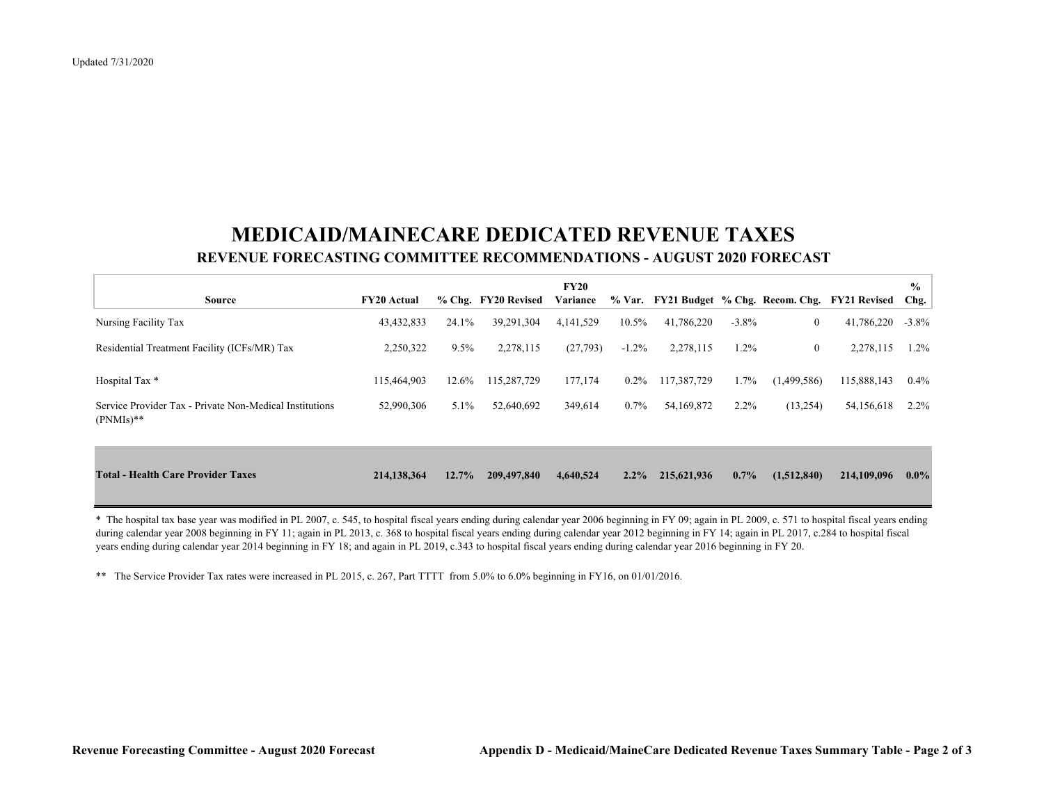## **MEDICAID/MAINECARE DEDICATED REVENUE TAXES REVENUE FORECASTING COMMITTEE RECOMMENDATIONS - AUGUST 2020 FORECAST**

|                                                                        |                    |         |                     | <b>FY20</b> |          |             |          |                  |                                                    | $\frac{6}{9}$ |
|------------------------------------------------------------------------|--------------------|---------|---------------------|-------------|----------|-------------|----------|------------------|----------------------------------------------------|---------------|
| Source                                                                 | <b>FY20</b> Actual |         | % Chg. FY20 Revised | Variance    |          |             |          |                  | % Var. FY21 Budget % Chg. Recom. Chg. FY21 Revised | Chg.          |
| Nursing Facility Tax                                                   | 43,432,833         | 24.1%   | 39,291,304          | 4,141,529   | 10.5%    | 41,786,220  | $-3.8\%$ | $\boldsymbol{0}$ | 41,786,220                                         | $-3.8\%$      |
| Residential Treatment Facility (ICFs/MR) Tax                           | 2,250,322          | $9.5\%$ | 2,278,115           | (27,793)    | $-1.2\%$ | 2,278,115   | $1.2\%$  | $\overline{0}$   | 2,278,115                                          | $1.2\%$       |
| Hospital Tax *                                                         | 115,464,903        | 12.6%   | 115,287,729         | 177,174     | $0.2\%$  | 117,387,729 | 1.7%     | (1,499,586)      | 115,888,143                                        | $0.4\%$       |
| Service Provider Tax - Private Non-Medical Institutions<br>$(PNMIs)**$ | 52,990,306         | $5.1\%$ | 52,640,692          | 349,614     | 0.7%     | 54,169,872  | $2.2\%$  | (13,254)         | 54,156,618                                         | $2.2\%$       |
| <b>Total - Health Care Provider Taxes</b>                              | 214,138,364        | 12.7%   | 209,497,840         | 4,640,524   | $2.2\%$  | 215,621,936 | $0.7\%$  | (1,512,840)      | 214,109,096                                        | $0.0\%$       |

\* The hospital tax base year was modified in PL 2007, c. 545, to hospital fiscal years ending during calendar year 2006 beginning in FY 09; again in PL 2009, c. 571 to hospital fiscal years ending during calendar year 2008 beginning in FY 11; again in PL 2013, c. 368 to hospital fiscal years ending during calendar year 2012 beginning in FY 14; again in PL 2017, c.284 to hospital fiscal years ending during calendar year 2014 beginning in FY 18; and again in PL 2019, c.343 to hospital fiscal years ending during calendar year 2016 beginning in FY 20.

\*\* The Service Provider Tax rates were increased in PL 2015, c. 267, Part TTTT from 5.0% to 6.0% beginning in FY16, on 01/01/2016.